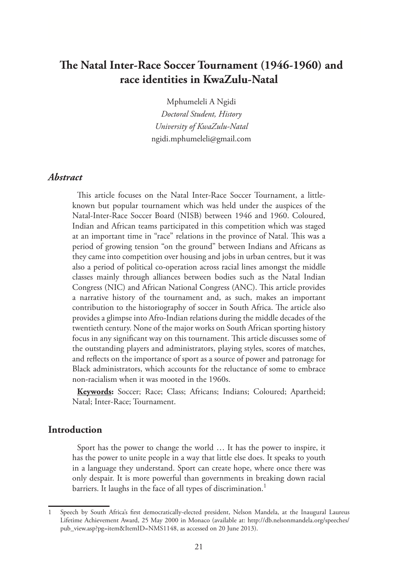# **The Natal Inter-Race Soccer Tournament (1946-1960) and race identities in KwaZulu-Natal**

Mphumeleli A Ngidi *Doctoral Student, History University of KwaZulu-Natal* ngidi.mphumeleli@gmail.com

## *Abstract*

This article focuses on the Natal Inter-Race Soccer Tournament, a littleknown but popular tournament which was held under the auspices of the Natal-Inter-Race Soccer Board (NISB) between 1946 and 1960. Coloured, Indian and African teams participated in this competition which was staged at an important time in "race" relations in the province of Natal. This was a period of growing tension "on the ground" between Indians and Africans as they came into competition over housing and jobs in urban centres, but it was also a period of political co-operation across racial lines amongst the middle classes mainly through alliances between bodies such as the Natal Indian Congress (NIC) and African National Congress (ANC). This article provides a narrative history of the tournament and, as such, makes an important contribution to the historiography of soccer in South Africa. The article also provides a glimpse into Afro-Indian relations during the middle decades of the twentieth century. None of the major works on South African sporting history focus in any significant way on this tournament. This article discusses some of the outstanding players and administrators, playing styles, scores of matches, and reflects on the importance of sport as a source of power and patronage for Black administrators, which accounts for the reluctance of some to embrace non-racialism when it was mooted in the 1960s.

**Keywords:** Soccer; Race; Class; Africans; Indians; Coloured; Apartheid; Natal; Inter-Race; Tournament.

## **Introduction**

Sport has the power to change the world … It has the power to inspire, it has the power to unite people in a way that little else does. It speaks to youth in a language they understand. Sport can create hope, where once there was only despair. It is more powerful than governments in breaking down racial barriers. It laughs in the face of all types of discrimination.<sup>1</sup>

Speech by South Africa's first democratically-elected president, Nelson Mandela, at the Inaugural Laureus Lifetime Achievement Award, 25 May 2000 in Monaco (available at: http://db.nelsonmandela.org/speeches/ pub\_view.asp?pg=item&ItemID=NMS1148, as accessed on 20 June 2013).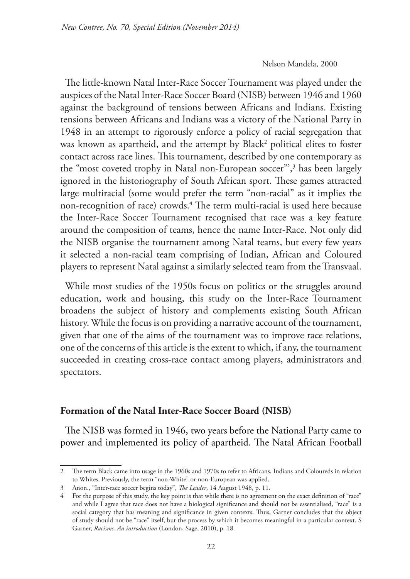#### Nelson Mandela, 2000

The little-known Natal Inter-Race Soccer Tournament was played under the auspices of the Natal Inter-Race Soccer Board (NISB) between 1946 and 1960 against the background of tensions between Africans and Indians. Existing tensions between Africans and Indians was a victory of the National Party in 1948 in an attempt to rigorously enforce a policy of racial segregation that was known as apartheid, and the attempt by Black<sup>2</sup> political elites to foster contact across race lines. This tournament, described by one contemporary as the "most coveted trophy in Natal non-European soccer"',3 has been largely ignored in the historiography of South African sport. These games attracted large multiracial (some would prefer the term "non-racial" as it implies the non-recognition of race) crowds.4 The term multi-racial is used here because the Inter-Race Soccer Tournament recognised that race was a key feature around the composition of teams, hence the name Inter-Race. Not only did the NISB organise the tournament among Natal teams, but every few years it selected a non-racial team comprising of Indian, African and Coloured players to represent Natal against a similarly selected team from the Transvaal.

While most studies of the 1950s focus on politics or the struggles around education, work and housing, this study on the Inter-Race Tournament broadens the subject of history and complements existing South African history. While the focus is on providing a narrative account of the tournament, given that one of the aims of the tournament was to improve race relations, one of the concerns of this article is the extent to which, if any, the tournament succeeded in creating cross-race contact among players, administrators and spectators.

### **Formation of the Natal Inter-Race Soccer Board (NISB)**

The NISB was formed in 1946, two years before the National Party came to power and implemented its policy of apartheid. The Natal African Football

<sup>2</sup> The term Black came into usage in the 1960s and 1970s to refer to Africans, Indians and Coloureds in relation to Whites. Previously, the term "non-White" or non-European was applied.

<sup>3</sup> Anon., "Inter-race soccer begins today", *The Leader*, 14 August 1948, p. 11.

<sup>4</sup> For the purpose of this study, the key point is that while there is no agreement on the exact definition of "race" and while I agree that race does not have a biological significance and should not be essentialised, "race" is a social category that has meaning and significance in given contexts. Thus, Garner concludes that the object of study should not be "race" itself, but the process by which it becomes meaningful in a particular context. S Garner, *Racisms. An introduction* (London, Sage, 2010), p. 18.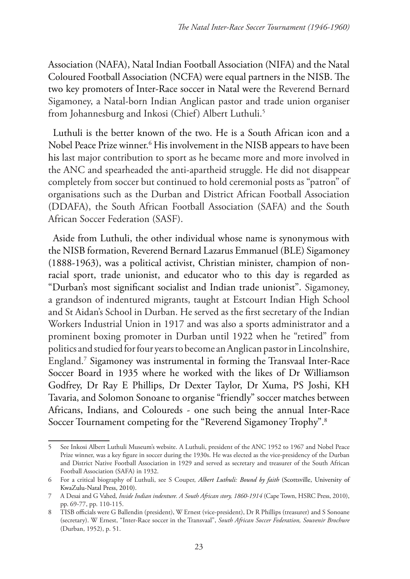Association (NAFA), Natal Indian Football Association (NIFA) and the Natal Coloured Football Association (NCFA) were equal partners in the NISB. The two key promoters of Inter-Race soccer in Natal were the Reverend Bernard Sigamoney, a Natal-born Indian Anglican pastor and trade union organiser from Johannesburg and Inkosi (Chief) Albert Luthuli.<sup>5</sup>

Luthuli is the better known of the two. He is a South African icon and a Nobel Peace Prize winner.6 His involvement in the NISB appears to have been his last major contribution to sport as he became more and more involved in the ANC and spearheaded the anti-apartheid struggle. He did not disappear completely from soccer but continued to hold ceremonial posts as "patron" of organisations such as the Durban and District African Football Association (DDAFA), the South African Football Association (SAFA) and the South African Soccer Federation (SASF).

Aside from Luthuli, the other individual whose name is synonymous with the NISB formation, Reverend Bernard Lazarus Emmanuel (BLE) Sigamoney (1888-1963), was a political activist, Christian minister, champion of nonracial sport, trade unionist, and educator who to this day is regarded as "Durban's most significant socialist and Indian trade unionist". Sigamoney, a grandson of indentured migrants, taught at Estcourt Indian High School and St Aidan's School in Durban. He served as the first secretary of the Indian Workers Industrial Union in 1917 and was also a sports administrator and a prominent boxing promoter in Durban until 1922 when he "retired" from politics and studied for four years to become an Anglican pastor in Lincolnshire, England.7 Sigamoney was instrumental in forming the Transvaal Inter-Race Soccer Board in 1935 where he worked with the likes of Dr Williamson Godfrey, Dr Ray E Phillips, Dr Dexter Taylor, Dr Xuma, PS Joshi, KH Tavaria, and Solomon Sonoane to organise "friendly" soccer matches between Africans, Indians, and Coloureds - one such being the annual Inter-Race Soccer Tournament competing for the "Reverend Sigamoney Trophy".8

<sup>5</sup> See Inkosi Albert Luthuli Museum's website. A Luthuli, president of the ANC 1952 to 1967 and Nobel Peace Prize winner, was a key figure in soccer during the 1930s. He was elected as the vice-presidency of the Durban and District Native Football Association in 1929 and served as secretary and treasurer of the South African Football Association (SAFA) in 1932.

<sup>6</sup> For a critical biography of Luthuli, see S Couper, *Albert Luthuli: Bound by faith* (Scottsville, University of KwaZulu-Natal Press, 2010).

<sup>7</sup> A Desai and G Vahed, *Inside Indian indenture. A South African story, 1860-1914* (Cape Town, HSRC Press, 2010), pp. 69-77, pp. 110-115.

<sup>8</sup> TISB officials were G Ballendin (president), W Ernest (vice-president), Dr R Phillips (treasurer) and S Sonoane (secretary). W Ernest, "Inter-Race soccer in the Transvaal", *South African Soccer Federation, Souvenir Brochure* (Durban, 1952), p. 51.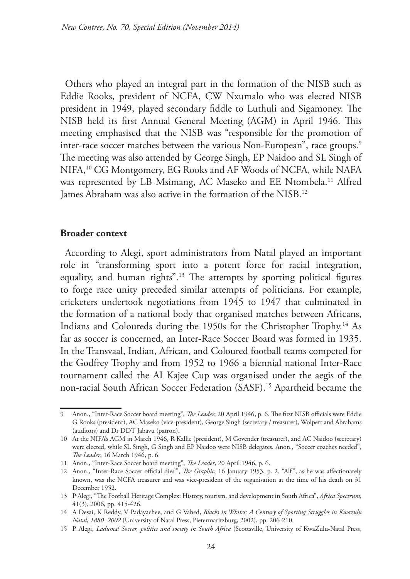Others who played an integral part in the formation of the NISB such as Eddie Rooks, president of NCFA, CW Nxumalo who was elected NISB president in 1949, played secondary fiddle to Luthuli and Sigamoney. The NISB held its first Annual General Meeting (AGM) in April 1946. This meeting emphasised that the NISB was "responsible for the promotion of inter-race soccer matches between the various Non-European", race groups.<sup>9</sup> The meeting was also attended by George Singh, EP Naidoo and SL Singh of NIFA,10 CG Montgomery, EG Rooks and AF Woods of NCFA, while NAFA was represented by LB Msimang, AC Maseko and EE Ntombela.11 Alfred James Abraham was also active in the formation of the NISB.<sup>12</sup>

#### **Broader context**

According to Alegi, sport administrators from Natal played an important role in "transforming sport into a potent force for racial integration, equality, and human rights".13 The attempts by sporting political figures to forge race unity preceded similar attempts of politicians. For example, cricketers undertook negotiations from 1945 to 1947 that culminated in the formation of a national body that organised matches between Africans, Indians and Coloureds during the 1950s for the Christopher Trophy.<sup>14</sup> As far as soccer is concerned, an Inter-Race Soccer Board was formed in 1935. In the Transvaal, Indian, African, and Coloured football teams competed for the Godfrey Trophy and from 1952 to 1966 a biennial national Inter-Race tournament called the AI Kajee Cup was organised under the aegis of the non-racial South African Soccer Federation (SASF).15 Apartheid became the

<sup>9</sup> Anon., "Inter-Race Soccer board meeting", *The Leader*, 20 April 1946, p. 6. The first NISB officials were Eddie G Rooks (president), AC Maseko (vice-president), George Singh (secretary / treasurer), Wolpert and Abrahams (auditors) and Dr DDT Jabavu (patron).

<sup>10</sup> At the NIFA's AGM in March 1946, R Kallie (president), M Govender (treasurer), and AC Naidoo (secretary) were elected, while SL Singh, G Singh and EP Naidoo were NISB delegates. Anon., "Soccer coaches needed", *The Leader*, 16 March 1946, p. 6.

<sup>11</sup> Anon., "Inter-Race Soccer board meeting", *The Leader*, 20 April 1946, p. 6.

<sup>12</sup> Anon., "Inter-Race Soccer official dies'", *The Graphic*, 16 January 1953, p. 2. "Alf", as he was affectionately known, was the NCFA treasurer and was vice-president of the organisation at the time of his death on 31 December 1952.

<sup>13</sup> P Alegi, "The Football Heritage Complex: History, tourism, and development in South Africa", *Africa Spectrum*, 41(3), 2006, pp. 415-426.

<sup>14</sup> A Desai, K Reddy, V Padayachee, and G Vahed, *Blacks in Whites: A Century of Sporting Struggles in Kwazulu Natal*, *1880–2002* (University of Natal Press, Pietermaritzburg, 2002), pp. 206-210.

<sup>15</sup> P Alegi, *Laduma! Soccer, politics and society in South Africa* (Scottsville, University of KwaZulu-Natal Press,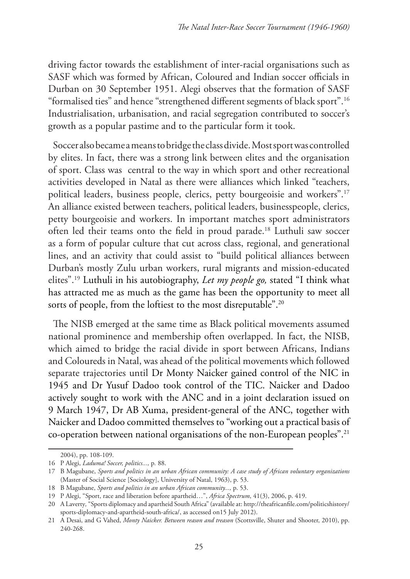driving factor towards the establishment of inter-racial organisations such as SASF which was formed by African, Coloured and Indian soccer officials in Durban on 30 September 1951. Alegi observes that the formation of SASF "formalised ties" and hence "strengthened different segments of black sport".16 Industrialisation, urbanisation, and racial segregation contributed to soccer's growth as a popular pastime and to the particular form it took.

Soccer also became a means to bridge the class divide. Most sport was controlled by elites. In fact, there was a strong link between elites and the organisation of sport. Class was central to the way in which sport and other recreational activities developed in Natal as there were alliances which linked "teachers, political leaders, business people, clerics, petty bourgeoisie and workers".17 An alliance existed between teachers, political leaders, businesspeople, clerics, petty bourgeoisie and workers. In important matches sport administrators often led their teams onto the field in proud parade.18 Luthuli saw soccer as a form of popular culture that cut across class, regional, and generational lines, and an activity that could assist to "build political alliances between Durban's mostly Zulu urban workers, rural migrants and mission-educated elites".19 Luthuli in his autobiography, *Let my people go,* stated "I think what has attracted me as much as the game has been the opportunity to meet all sorts of people, from the loftiest to the most disreputable".<sup>20</sup>

The NISB emerged at the same time as Black political movements assumed national prominence and membership often overlapped. In fact, the NISB, which aimed to bridge the racial divide in sport between Africans, Indians and Coloureds in Natal, was ahead of the political movements which followed separate trajectories until Dr Monty Naicker gained control of the NIC in 1945 and Dr Yusuf Dadoo took control of the TIC. Naicker and Dadoo actively sought to work with the ANC and in a joint declaration issued on 9 March 1947, Dr AB Xuma, president-general of the ANC, together with Naicker and Dadoo committed themselves to "working out a practical basis of co-operation between national organisations of the non-European peoples".21

<sup>2004),</sup> pp. 108-109.

<sup>16</sup> P Alegi, *Laduma! Soccer, politics...,* p*.* 88.

<sup>17</sup> B Magubane, *Sports and politics in an urban African community: A case study of African voluntary organizations* (Master of Social Science [Sociology], University of Natal, 1963), p. 53.

<sup>18</sup> B Magubane, *Sports and politics in an urban African community...,* p. 53.

<sup>19</sup> P Alegi, "Sport, race and liberation before apartheid…", *Africa Spectrum*, 41(3), 2006, p. 419.

<sup>20</sup> A Laverty*,* "Sports diplomacy and apartheid South Africa" (available at: http://theafricanfile.com/politicshistory/ sports-diplomacy-and-apartheid-south-africa/, as accessed on15 July 2012).

<sup>21</sup> A Desai, and G Vahed, *Monty Naicker. Between reason and treason* (Scottsville, Shuter and Shooter, 2010), pp. 240-268.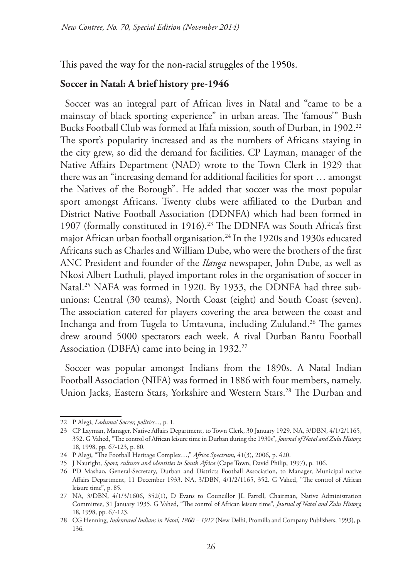This paved the way for the non-racial struggles of the 1950s.

## **Soccer in Natal: A brief history pre-1946**

Soccer was an integral part of African lives in Natal and "came to be a mainstay of black sporting experience" in urban areas. The 'famous'" Bush Bucks Football Club was formed at Ifafa mission, south of Durban, in 1902.<sup>22</sup> The sport's popularity increased and as the numbers of Africans staying in the city grew, so did the demand for facilities. CP Layman, manager of the Native Affairs Department (NAD) wrote to the Town Clerk in 1929 that there was an "increasing demand for additional facilities for sport … amongst the Natives of the Borough". He added that soccer was the most popular sport amongst Africans. Twenty clubs were affiliated to the Durban and District Native Football Association (DDNFA) which had been formed in 1907 (formally constituted in 1916).23 The DDNFA was South Africa's first major African urban football organisation.24 In the 1920s and 1930s educated Africans such as Charles and William Dube, who were the brothers of the first ANC President and founder of the *Ilanga* newspaper, John Dube, as well as Nkosi Albert Luthuli, played important roles in the organisation of soccer in Natal.<sup>25</sup> NAFA was formed in 1920. By 1933, the DDNFA had three subunions: Central (30 teams), North Coast (eight) and South Coast (seven). The association catered for players covering the area between the coast and Inchanga and from Tugela to Umtavuna, including Zululand.26 The games drew around 5000 spectators each week. A rival Durban Bantu Football Association (DBFA) came into being in 1932.<sup>27</sup>

Soccer was popular amongst Indians from the 1890s. A Natal Indian Football Association (NIFA) was formed in 1886 with four members, namely. Union Jacks, Eastern Stars, Yorkshire and Western Stars.<sup>28</sup> The Durban and

<sup>22</sup> P Alegi, *Laduma! Soccer, politics...,* p. 1.

<sup>23</sup> CP Layman, Manager, Native Affairs Department, to Town Clerk, 30 January 1929. NA, 3/DBN, 4/1/2/1165, 352. G Vahed, "The control of African leisure time in Durban during the 1930s", *Journal of Natal and Zulu History,*  18, 1998, pp. 67-123, p. 80.

<sup>24</sup> P Alegi, "The Football Heritage Complex…," *Africa Spectrum*, 41(3), 2006, p. 420.

<sup>25</sup> J Nauright, *Sport, cultures and identities in South Africa* (Cape Town, David Philip, 1997), p. 106.

<sup>26</sup> PD Mashao, General-Secretary, Durban and Districts Football Association, to Manager, Municipal native Affairs Department, 11 December 1933. NA, 3/DBN, 4/1/2/1165, 352. G Vahed, "The control of African leisure time", p. 85.

<sup>27</sup> NA, 3/DBN, 4/1/3/1606, 352(1), D Evans to Councillor JL Farrell, Chairman, Native Administration Committee, 31 January 1935. G Vahed, "The control of African leisure time", *Journal of Natal and Zulu History,*  18, 1998, pp. 67-123.

<sup>28</sup> CG Henning, *Indentured Indians in Natal, 1860 – 1917* (New Delhi, Promilla and Company Publishers, 1993), p. 136.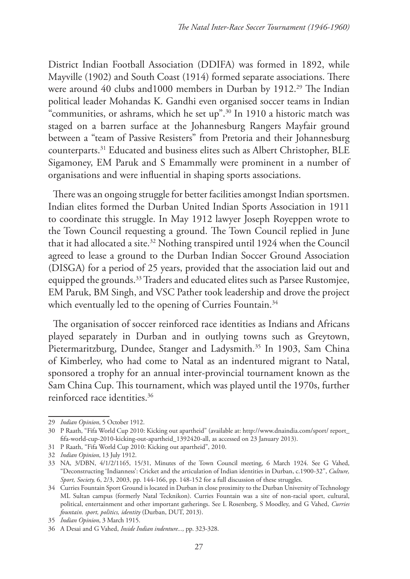District Indian Football Association (DDIFA) was formed in 1892, while Mayville (1902) and South Coast (1914) formed separate associations. There were around 40 clubs and 1000 members in Durban by 1912.<sup>29</sup> The Indian political leader Mohandas K. Gandhi even organised soccer teams in Indian "communities, or ashrams, which he set up".30 In 1910 a historic match was staged on a barren surface at the Johannesburg Rangers Mayfair ground between a "team of Passive Resisters" from Pretoria and their Johannesburg counterparts.31 Educated and business elites such as Albert Christopher, BLE Sigamoney, EM Paruk and S Emammally were prominent in a number of organisations and were influential in shaping sports associations.

There was an ongoing struggle for better facilities amongst Indian sportsmen. Indian elites formed the Durban United Indian Sports Association in 1911 to coordinate this struggle. In May 1912 lawyer Joseph Royeppen wrote to the Town Council requesting a ground. The Town Council replied in June that it had allocated a site.<sup>32</sup> Nothing transpired until 1924 when the Council agreed to lease a ground to the Durban Indian Soccer Ground Association (DISGA) for a period of 25 years, provided that the association laid out and equipped the grounds.<sup>33</sup> Traders and educated elites such as Parsee Rustomjee, EM Paruk, BM Singh, and VSC Pather took leadership and drove the project which eventually led to the opening of Curries Fountain.<sup>34</sup>

The organisation of soccer reinforced race identities as Indians and Africans played separately in Durban and in outlying towns such as Greytown, Pietermaritzburg, Dundee, Stanger and Ladysmith.<sup>35</sup> In 1903, Sam China of Kimberley, who had come to Natal as an indentured migrant to Natal, sponsored a trophy for an annual inter-provincial tournament known as the Sam China Cup. This tournament, which was played until the 1970s, further reinforced race identities.36

<sup>29</sup> *Indian Opinion*, 5 October 1912.

<sup>30</sup> P Raath, "Fifa World Cup 2010: Kicking out apartheid" (available at: http://www.dnaindia.com/sport/ report\_ fifa-world-cup-2010-kicking-out-apartheid\_1392420-all, as accessed on 23 January 2013).

<sup>31</sup> P Raath, "Fifa World Cup 2010: Kicking out apartheid", 2010.

<sup>32</sup> *Indian Opinion*, 13 July 1912.

<sup>33</sup> NA, 3/DBN, 4/1/2/1165, 15/31, Minutes of the Town Council meeting, 6 March 1924. See G Vahed, "Deconstructing 'Indianness': Cricket and the articulation of Indian identities in Durban, c.1900-32", *Culture, Sport, Society,* 6, 2/3, 2003, pp. 144-166, pp. 148-152 for a full discussion of these struggles.

<sup>34</sup> Curries Fountain Sport Ground is located in Durban in close proximity to the Durban University of Technology ML Sultan campus (formerly Natal Tecknikon). Curries Fountain was a site of non-racial sport, cultural, political, entertainment and other important gatherings. See L Rosenberg, S Moodley, and G Vahed, *Curries fountain. sport, politics, identity* (Durban, DUT, 2013).

<sup>35</sup> *Indian Opinion*, 3 March 1915.

<sup>36</sup> A Desai and G Vahed, *Inside Indian indenture...,* pp. 323-328.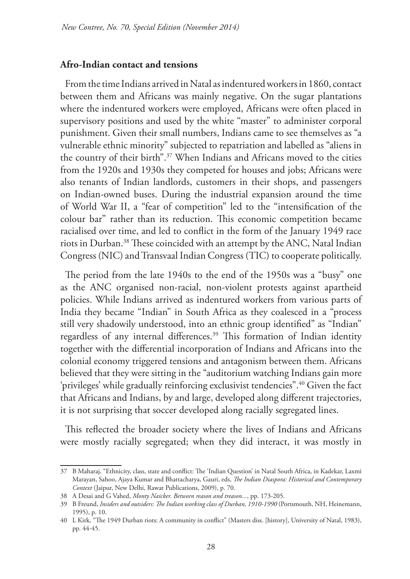#### **Afro-Indian contact and tensions**

From the time Indians arrived in Natal as indentured workers in 1860, contact between them and Africans was mainly negative. On the sugar plantations where the indentured workers were employed, Africans were often placed in supervisory positions and used by the white "master" to administer corporal punishment. Given their small numbers, Indians came to see themselves as "a vulnerable ethnic minority" subjected to repatriation and labelled as "aliens in the country of their birth".<sup>37</sup> When Indians and Africans moved to the cities from the 1920s and 1930s they competed for houses and jobs; Africans were also tenants of Indian landlords, customers in their shops, and passengers on Indian-owned buses. During the industrial expansion around the time of World War II, a "fear of competition" led to the "intensification of the colour bar" rather than its reduction. This economic competition became racialised over time, and led to conflict in the form of the January 1949 race riots in Durban.38 These coincided with an attempt by the ANC, Natal Indian Congress (NIC) and Transvaal Indian Congress (TIC) to cooperate politically.

The period from the late 1940s to the end of the 1950s was a "busy" one as the ANC organised non-racial, non-violent protests against apartheid policies. While Indians arrived as indentured workers from various parts of India they became "Indian" in South Africa as they coalesced in a "process still very shadowily understood, into an ethnic group identified" as "Indian" regardless of any internal differences.<sup>39</sup> This formation of Indian identity together with the differential incorporation of Indians and Africans into the colonial economy triggered tensions and antagonism between them. Africans believed that they were sitting in the "auditorium watching Indians gain more 'privileges' while gradually reinforcing exclusivist tendencies".40 Given the fact that Africans and Indians, by and large, developed along different trajectories, it is not surprising that soccer developed along racially segregated lines.

This reflected the broader society where the lives of Indians and Africans were mostly racially segregated; when they did interact, it was mostly in

<sup>37</sup> B Maharaj, "Ethnicity, class, state and conflict: The 'Indian Question' in Natal South Africa, in Kadekar, Laxmi Marayan, Sahoo, Ajaya Kumar and Bhattacharya, Gauri, eds, *The Indian Diaspora: Historical and Contemporary Context* (Jaipur, New Delhi, Rawat Publications, 2009), p. 70.

<sup>38</sup> A Desai and G Vahed, *Monty Naicker. Between reason and treason...*, pp. 173-205.

<sup>39</sup> B Freund, *Insiders and outsiders: The Indian working class of Durban, 1910-1990* (Portsmouth, NH, Heinemann, 1995), p. 10.

<sup>40</sup> L Kirk, "The 1949 Durban riots: A community in conflict" (Masters diss. [history], University of Natal, 1983), pp. 44-45.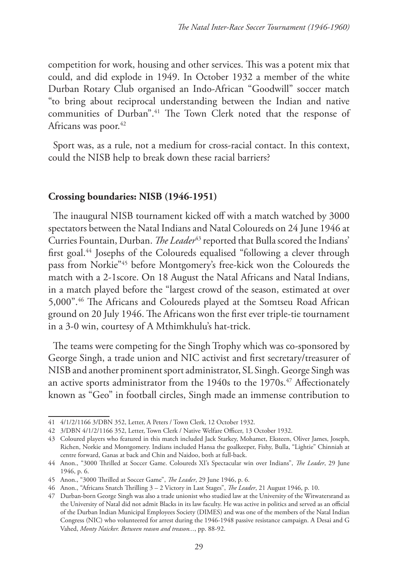competition for work, housing and other services. This was a potent mix that could, and did explode in 1949. In October 1932 a member of the white Durban Rotary Club organised an Indo-African "Goodwill" soccer match "to bring about reciprocal understanding between the Indian and native communities of Durban".41 The Town Clerk noted that the response of Africans was poor.<sup>42</sup>

Sport was, as a rule, not a medium for cross-racial contact. In this context, could the NISB help to break down these racial barriers?

## **Crossing boundaries: NISB (1946-1951)**

The inaugural NISB tournament kicked off with a match watched by 3000 spectators between the Natal Indians and Natal Coloureds on 24 June 1946 at Curries Fountain, Durban. *The Leader*<sup>43</sup> reported that Bulla scored the Indians' first goal.44 Josephs of the Coloureds equalised "following a clever through pass from Norkie"45 before Montgomery's free-kick won the Coloureds the match with a 2-1score. On 18 August the Natal Africans and Natal Indians, in a match played before the "largest crowd of the season, estimated at over 5,000".46 The Africans and Coloureds played at the Somtseu Road African ground on 20 July 1946. The Africans won the first ever triple-tie tournament in a 3-0 win, courtesy of A Mthimkhulu's hat-trick.

The teams were competing for the Singh Trophy which was co-sponsored by George Singh, a trade union and NIC activist and first secretary/treasurer of NISB and another prominent sport administrator, SL Singh. George Singh was an active sports administrator from the 1940s to the 1970s.<sup>47</sup> Affectionately known as "Geo" in football circles, Singh made an immense contribution to

<sup>41</sup> 4/1/2/1166 3/DBN 352, Letter, A Peters / Town Clerk, 12 October 1932.

<sup>42</sup> 3/DBN 4/1/2/1166 352, Letter, Town Clerk / Native Welfare Officer, 13 October 1932.

<sup>43</sup> Coloured players who featured in this match included Jack Starkey, Mohamet, Eksteen, Oliver James, Joseph, Richen, Norkie and Montgomery. Indians included Hansa the goalkeeper, Fishy, Bulla, "Lightie" Chinniah at centre forward, Ganas at back and Chin and Naidoo, both at full-back.

<sup>44</sup> Anon., "3000 Thrilled at Soccer Game. Coloureds XI's Spectacular win over Indians", *The Leader*, 29 June 1946, p. 6.

<sup>45</sup> Anon., "3000 Thrilled at Soccer Game", *The Leader*, 29 June 1946, p. 6.

<sup>46</sup> Anon., "Africans Snatch Thrilling 3 – 2 Victory in Last Stages", *The Leader*, 21 August 1946, p. 10.

<sup>47</sup> Durban-born George Singh was also a trade unionist who studied law at the University of the Witwatersrand as the University of Natal did not admit Blacks in its law faculty. He was active in politics and served as an official of the Durban Indian Municipal Employees Society (DIMES) and was one of the members of the Natal Indian Congress (NIC) who volunteered for arrest during the 1946-1948 passive resistance campaign. A Desai and G Vahed, *Monty Naicker. Between reason and treason...*, pp. 88-92.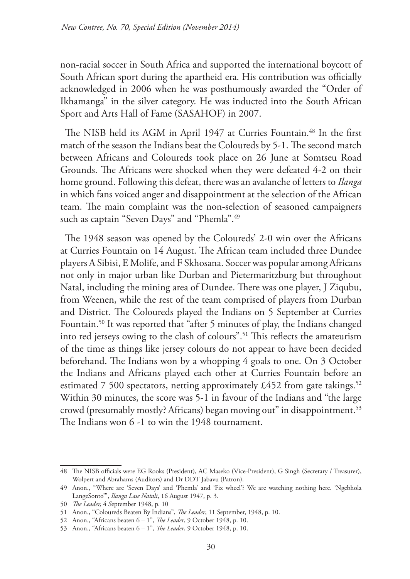non-racial soccer in South Africa and supported the international boycott of South African sport during the apartheid era. His contribution was officially acknowledged in 2006 when he was posthumously awarded the "Order of Ikhamanga" in the silver category. He was inducted into the South African Sport and Arts Hall of Fame (SASAHOF) in 2007.

The NISB held its AGM in April 1947 at Curries Fountain.<sup>48</sup> In the first match of the season the Indians beat the Coloureds by 5-1. The second match between Africans and Coloureds took place on 26 June at Somtseu Road Grounds. The Africans were shocked when they were defeated 4-2 on their home ground. Following this defeat, there was an avalanche of letters to *Ilanga* in which fans voiced anger and disappointment at the selection of the African team. The main complaint was the non-selection of seasoned campaigners such as captain "Seven Days" and "Phemla".<sup>49</sup>

The 1948 season was opened by the Coloureds' 2-0 win over the Africans at Curries Fountain on 14 August. The African team included three Dundee players A Sibisi, E Molife, and F Skhosana. Soccer was popular among Africans not only in major urban like Durban and Pietermaritzburg but throughout Natal, including the mining area of Dundee. There was one player, J Ziqubu, from Weenen, while the rest of the team comprised of players from Durban and District. The Coloureds played the Indians on 5 September at Curries Fountain.50 It was reported that "after 5 minutes of play, the Indians changed into red jerseys owing to the clash of colours".51 This reflects the amateurism of the time as things like jersey colours do not appear to have been decided beforehand. The Indians won by a whopping 4 goals to one. On 3 October the Indians and Africans played each other at Curries Fountain before an estimated 7 500 spectators, netting approximately £452 from gate takings.<sup>52</sup> Within 30 minutes, the score was 5-1 in favour of the Indians and "the large crowd (presumably mostly? Africans) began moving out" in disappointment.<sup>53</sup> The Indians won 6 -1 to win the 1948 tournament.

<sup>48</sup> The NISB officials were EG Rooks (President), AC Maseko (Vice-President), G Singh (Secretary / Treasurer), Wolpert and Abrahams (Auditors) and Dr DDT Jabavu (Patron).

<sup>49</sup> Anon., "Where are 'Seven Days' and 'Phemla' and 'Fix wheel'? We are watching nothing here. 'Ngebhola LangeSonto'", *Ilanga Lase Natali*, 16 August 1947, p. 3.

<sup>50</sup> *The Leader,* 4 *S*eptember 1948, p. 10

<sup>51</sup> Anon., "Coloureds Beaten By Indians", *The Leader*, 11 September, 1948, p. 10.

<sup>52</sup> Anon., "Africans beaten 6 – 1", *The Leader*, 9 October 1948, p. 10.

<sup>53</sup> Anon., "Africans beaten 6 – 1", *The Leader*, 9 October 1948, p. 10.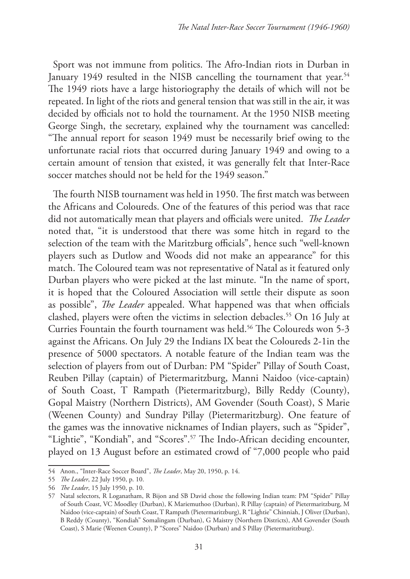Sport was not immune from politics. The Afro-Indian riots in Durban in January 1949 resulted in the NISB cancelling the tournament that year.<sup>54</sup> The 1949 riots have a large historiography the details of which will not be repeated. In light of the riots and general tension that was still in the air, it was decided by officials not to hold the tournament. At the 1950 NISB meeting George Singh, the secretary, explained why the tournament was cancelled: "The annual report for season 1949 must be necessarily brief owing to the unfortunate racial riots that occurred during January 1949 and owing to a certain amount of tension that existed, it was generally felt that Inter-Race soccer matches should not be held for the 1949 season."

The fourth NISB tournament was held in 1950. The first match was between the Africans and Coloureds. One of the features of this period was that race did not automatically mean that players and officials were united. *The Leader* noted that, "it is understood that there was some hitch in regard to the selection of the team with the Maritzburg officials", hence such "well-known players such as Dutlow and Woods did not make an appearance" for this match. The Coloured team was not representative of Natal as it featured only Durban players who were picked at the last minute. "In the name of sport, it is hoped that the Coloured Association will settle their dispute as soon as possible", *The Leader* appealed. What happened was that when officials clashed, players were often the victims in selection debacles.55 On 16 July at Curries Fountain the fourth tournament was held.<sup>56</sup> The Coloureds won 5-3 against the Africans. On July 29 the Indians IX beat the Coloureds 2-1in the presence of 5000 spectators. A notable feature of the Indian team was the selection of players from out of Durban: PM "Spider" Pillay of South Coast, Reuben Pillay (captain) of Pietermaritzburg, Manni Naidoo (vice-captain) of South Coast, T Rampath (Pietermaritzburg), Billy Reddy (County), Gopal Maistry (Northern Districts), AM Govender (South Coast), S Marie (Weenen County) and Sundray Pillay (Pietermaritzburg). One feature of the games was the innovative nicknames of Indian players, such as "Spider", "Lightie", "Kondiah", and "Scores".57 The Indo-African deciding encounter, played on 13 August before an estimated crowd of "7,000 people who paid

<sup>54</sup> Anon., "Inter-Race Soccer Board", *The Leader*, May 20, 1950, p. 14.

<sup>55</sup> *The Leader*, 22 July 1950, p. 10.

<sup>56</sup> *The Leader*, 15 July 1950, p. 10.

<sup>57</sup> Natal selectors, R Loganatham, R Bijon and SB David chose the following Indian team: PM "Spider" Pillay of South Coast, VC Moodley (Durban), K Mariemuthoo (Durban), R Pillay (captain) of Pietermaritzburg, M Naidoo (vice-captain) of South Coast, T Rampath (Pietermaritzburg), R "Lightie" Chinniah, J Oliver (Durban), B Reddy (County), "Kondiah" Somalingam (Durban), G Maistry (Northern Districts), AM Govender (South Coast), S Marie (Weenen County), P "Scores" Naidoo (Durban) and S Pillay (Pietermaritzburg).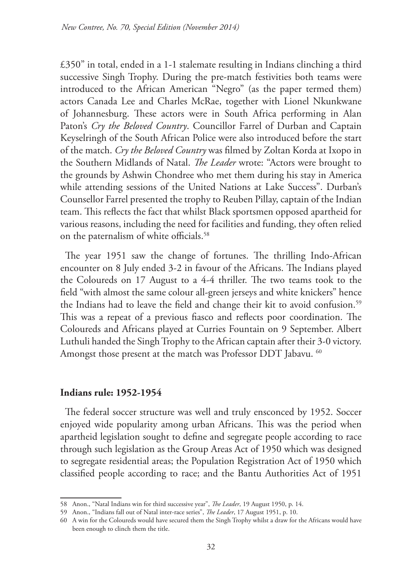£350" in total, ended in a 1-1 stalemate resulting in Indians clinching a third successive Singh Trophy. During the pre-match festivities both teams were introduced to the African American "Negro" (as the paper termed them) actors Canada Lee and Charles McRae, together with Lionel Nkunkwane of Johannesburg. These actors were in South Africa performing in Alan Paton's *Cry the Beloved Country*. Councillor Farrel of Durban and Captain Keyselringh of the South African Police were also introduced before the start of the match. *Cry the Beloved Country* was filmed by Zoltan Korda at Ixopo in the Southern Midlands of Natal. *The Leader* wrote: "Actors were brought to the grounds by Ashwin Chondree who met them during his stay in America while attending sessions of the United Nations at Lake Success". Durban's Counsellor Farrel presented the trophy to Reuben Pillay, captain of the Indian team. This reflects the fact that whilst Black sportsmen opposed apartheid for various reasons, including the need for facilities and funding, they often relied on the paternalism of white officials.<sup>58</sup>

The year 1951 saw the change of fortunes. The thrilling Indo-African encounter on 8 July ended 3-2 in favour of the Africans. The Indians played the Coloureds on 17 August to a 4-4 thriller. The two teams took to the field "with almost the same colour all-green jerseys and white knickers" hence the Indians had to leave the field and change their kit to avoid confusion.<sup>59</sup> This was a repeat of a previous fiasco and reflects poor coordination. The Coloureds and Africans played at Curries Fountain on 9 September. Albert Luthuli handed the Singh Trophy to the African captain after their 3-0 victory. Amongst those present at the match was Professor DDT Jabavu. <sup>60</sup>

## **Indians rule: 1952-1954**

The federal soccer structure was well and truly ensconced by 1952. Soccer enjoyed wide popularity among urban Africans. This was the period when apartheid legislation sought to define and segregate people according to race through such legislation as the Group Areas Act of 1950 which was designed to segregate residential areas; the Population Registration Act of 1950 which classified people according to race; and the Bantu Authorities Act of 1951

<sup>58</sup> Anon., "Natal Indians win for third successive year", *The Leader*, 19 August 1950, p. 14.

<sup>59</sup> Anon., "Indians fall out of Natal inter-race series", *The Leader*, 17 August 1951, p. 10.

<sup>60</sup> A win for the Coloureds would have secured them the Singh Trophy whilst a draw for the Africans would have been enough to clinch them the title.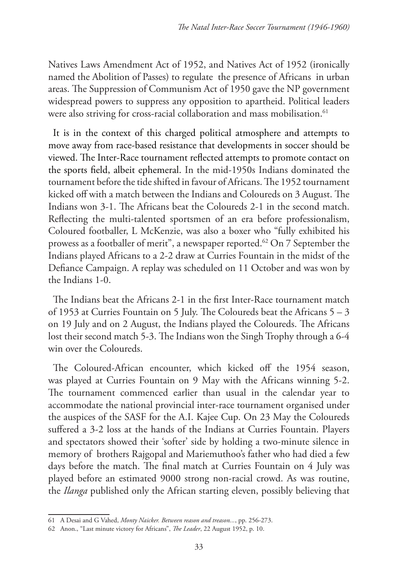Natives Laws Amendment Act of 1952, and Natives Act of 1952 (ironically named the Abolition of Passes) to regulate the presence of Africans in urban areas. The Suppression of Communism Act of 1950 gave the NP government widespread powers to suppress any opposition to apartheid. Political leaders were also striving for cross-racial collaboration and mass mobilisation.<sup>61</sup>

It is in the context of this charged political atmosphere and attempts to move away from race-based resistance that developments in soccer should be viewed. The Inter-Race tournament reflected attempts to promote contact on the sports field, albeit ephemeral. In the mid-1950s Indians dominated the tournament before the tide shifted in favour of Africans. The 1952 tournament kicked off with a match between the Indians and Coloureds on 3 August. The Indians won 3-1. The Africans beat the Coloureds 2-1 in the second match. Reflecting the multi-talented sportsmen of an era before professionalism, Coloured footballer, L McKenzie, was also a boxer who "fully exhibited his prowess as a footballer of merit", a newspaper reported.<sup>62</sup> On 7 September the Indians played Africans to a 2-2 draw at Curries Fountain in the midst of the Defiance Campaign. A replay was scheduled on 11 October and was won by the Indians 1-0.

The Indians beat the Africans 2-1 in the first Inter-Race tournament match of 1953 at Curries Fountain on 5 July. The Coloureds beat the Africans 5 – 3 on 19 July and on 2 August, the Indians played the Coloureds. The Africans lost their second match 5-3. The Indians won the Singh Trophy through a 6-4 win over the Coloureds.

The Coloured-African encounter, which kicked off the 1954 season, was played at Curries Fountain on 9 May with the Africans winning 5-2. The tournament commenced earlier than usual in the calendar year to accommodate the national provincial inter-race tournament organised under the auspices of the SASF for the A.I. Kajee Cup. On 23 May the Coloureds suffered a 3-2 loss at the hands of the Indians at Curries Fountain. Players and spectators showed their 'softer' side by holding a two-minute silence in memory of brothers Rajgopal and Mariemuthoo's father who had died a few days before the match. The final match at Curries Fountain on 4 July was played before an estimated 9000 strong non-racial crowd. As was routine, the *Ilanga* published only the African starting eleven, possibly believing that

<sup>61</sup> A Desai and G Vahed, *Monty Naicker. Between reason and treason...*, pp. 256-273.

<sup>62</sup> Anon., "Last minute victory for Africans", *The Leader*, 22 August 1952, p. 10.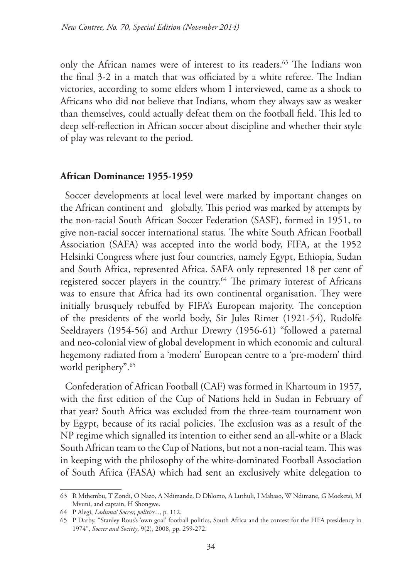only the African names were of interest to its readers.<sup>63</sup> The Indians won the final 3-2 in a match that was officiated by a white referee. The Indian victories, according to some elders whom I interviewed, came as a shock to Africans who did not believe that Indians, whom they always saw as weaker than themselves, could actually defeat them on the football field. This led to deep self-reflection in African soccer about discipline and whether their style of play was relevant to the period.

### **African Dominance: 1955-1959**

Soccer developments at local level were marked by important changes on the African continent and globally. This period was marked by attempts by the non-racial South African Soccer Federation (SASF), formed in 1951, to give non-racial soccer international status. The white South African Football Association (SAFA) was accepted into the world body, FIFA, at the 1952 Helsinki Congress where just four countries, namely Egypt, Ethiopia, Sudan and South Africa, represented Africa. SAFA only represented 18 per cent of registered soccer players in the country.<sup>64</sup> The primary interest of Africans was to ensure that Africa had its own continental organisation. They were initially brusquely rebuffed by FIFA's European majority. The conception of the presidents of the world body, Sir Jules Rimet (1921-54), Rudolfe Seeldrayers (1954-56) and Arthur Drewry (1956-61) "followed a paternal and neo-colonial view of global development in which economic and cultural hegemony radiated from a 'modern' European centre to a 'pre-modern' third world periphery".<sup>65</sup>

Confederation of African Football (CAF) was formed in Khartoum in 1957, with the first edition of the Cup of Nations held in Sudan in February of that year? South Africa was excluded from the three-team tournament won by Egypt, because of its racial policies. The exclusion was as a result of the NP regime which signalled its intention to either send an all-white or a Black South African team to the Cup of Nations, but not a non-racial team. This was in keeping with the philosophy of the white-dominated Football Association of South Africa (FASA) which had sent an exclusively white delegation to

<sup>63</sup> R Mthembu, T Zondi, O Nazo, A Ndimande, D Dhlomo, A Luthuli, I Mabaso, W Ndimane, G Moeketsi, M Mvuni, and captain, H Shongwe.

<sup>64</sup> P Alegi, *Laduma! Soccer, politics...,* p. 112.

<sup>65</sup> P Darby, "Stanley Rous's 'own goal' football politics, South Africa and the contest for the FIFA presidency in 1974", *Soccer and Society*, 9(2), 2008, pp. 259-272.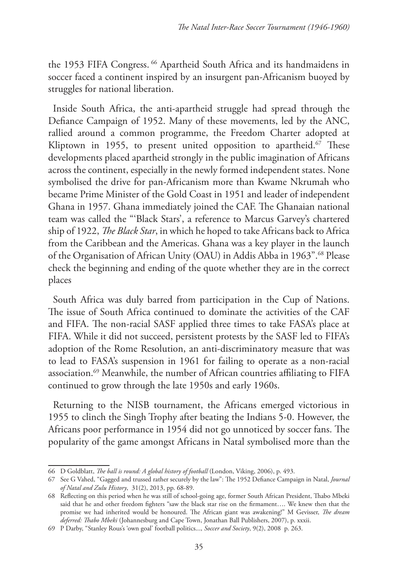the 1953 FIFA Congress.<sup>66</sup> Apartheid South Africa and its handmaidens in soccer faced a continent inspired by an insurgent pan-Africanism buoyed by struggles for national liberation.

Inside South Africa, the anti-apartheid struggle had spread through the Defiance Campaign of 1952. Many of these movements, led by the ANC, rallied around a common programme, the Freedom Charter adopted at Kliptown in 1955, to present united opposition to apartheid.<sup>67</sup> These developments placed apartheid strongly in the public imagination of Africans across the continent, especially in the newly formed independent states. None symbolised the drive for pan-Africanism more than Kwame Nkrumah who became Prime Minister of the Gold Coast in 1951 and leader of independent Ghana in 1957. Ghana immediately joined the CAF. The Ghanaian national team was called the "'Black Stars', a reference to Marcus Garvey's chartered ship of 1922, *The Black Star*, in which he hoped to take Africans back to Africa from the Caribbean and the Americas. Ghana was a key player in the launch of the Organisation of African Unity (OAU) in Addis Abba in 1963".68 Please check the beginning and ending of the quote whether they are in the correct places

South Africa was duly barred from participation in the Cup of Nations. The issue of South Africa continued to dominate the activities of the CAF and FIFA. The non-racial SASF applied three times to take FASA's place at FIFA. While it did not succeed, persistent protests by the SASF led to FIFA's adoption of the Rome Resolution, an anti-discriminatory measure that was to lead to FASA's suspension in 1961 for failing to operate as a non-racial association.69 Meanwhile, the number of African countries affiliating to FIFA continued to grow through the late 1950s and early 1960s.

Returning to the NISB tournament, the Africans emerged victorious in 1955 to clinch the Singh Trophy after beating the Indians 5-0. However, the Africans poor performance in 1954 did not go unnoticed by soccer fans. The popularity of the game amongst Africans in Natal symbolised more than the

<sup>66</sup> D Goldblatt, *The ball is round: A global history of football* (London, Viking, 2006), p. 493.

<sup>67</sup> See G Vahed, "Gagged and trussed rather securely by the law": The 1952 Defiance Campaign in Natal, *Journal of Natal and Zulu History*, 31(2), 2013, pp. 68-89.

<sup>68</sup> Reflecting on this period when he was still of school-going age, former South African President, Thabo Mbeki said that he and other freedom fighters "saw the black star rise on the firmament…. We knew then that the promise we had inherited would be honoured. The African giant was awakening!" M Gevisser, *The dream deferred: Thabo Mbeki* (Johannesburg and Cape Town, Jonathan Ball Publishers, 2007), p. xxxii.

<sup>69</sup> P Darby, "Stanley Rous's 'own goal' football politics..., *Soccer and Society*, 9(2), 2008 p. 263.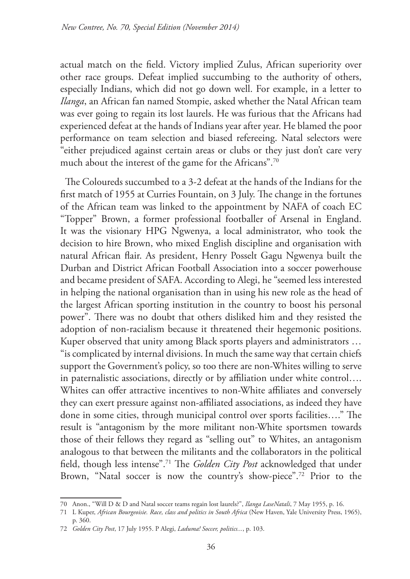actual match on the field. Victory implied Zulus, African superiority over other race groups. Defeat implied succumbing to the authority of others, especially Indians, which did not go down well. For example, in a letter to *Ilanga*, an African fan named Stompie, asked whether the Natal African team was ever going to regain its lost laurels. He was furious that the Africans had experienced defeat at the hands of Indians year after year. He blamed the poor performance on team selection and biased refereeing. Natal selectors were "either prejudiced against certain areas or clubs or they just don't care very much about the interest of the game for the Africans".70

The Coloureds succumbed to a 3-2 defeat at the hands of the Indians for the first match of 1955 at Curries Fountain, on 3 July. The change in the fortunes of the African team was linked to the appointment by NAFA of coach EC "Topper" Brown, a former professional footballer of Arsenal in England. It was the visionary HPG Ngwenya, a local administrator, who took the decision to hire Brown, who mixed English discipline and organisation with natural African flair. As president, Henry Posselt Gagu Ngwenya built the Durban and District African Football Association into a soccer powerhouse and became president of SAFA. According to Alegi, he "seemed less interested in helping the national organisation than in using his new role as the head of the largest African sporting institution in the country to boost his personal power". There was no doubt that others disliked him and they resisted the adoption of non-racialism because it threatened their hegemonic positions. Kuper observed that unity among Black sports players and administrators … "is complicated by internal divisions. In much the same way that certain chiefs support the Government's policy, so too there are non-Whites willing to serve in paternalistic associations, directly or by affiliation under white control…. Whites can offer attractive incentives to non-White affiliates and conversely they can exert pressure against non-affiliated associations, as indeed they have done in some cities, through municipal control over sports facilities…." The result is "antagonism by the more militant non-White sportsmen towards those of their fellows they regard as "selling out" to Whites, an antagonism analogous to that between the militants and the collaborators in the political field, though less intense".71 The *Golden City Post* acknowledged that under Brown, "Natal soccer is now the country's show-piece".72 Prior to the

<sup>70</sup> Anon., "Will D & D and Natal soccer teams regain lost laurels?", *Ilanga LaseNatali*, 7 May 1955, p. 16.

<sup>71</sup> L Kuper, *African Bourgeoisie. Race, class and politics in South Africa* (New Haven, Yale University Press, 1965), p. 360.

<sup>72</sup> *Golden City Post*, 17 July 1955. P Alegi, *Laduma! Soccer, politics...*, p. 103.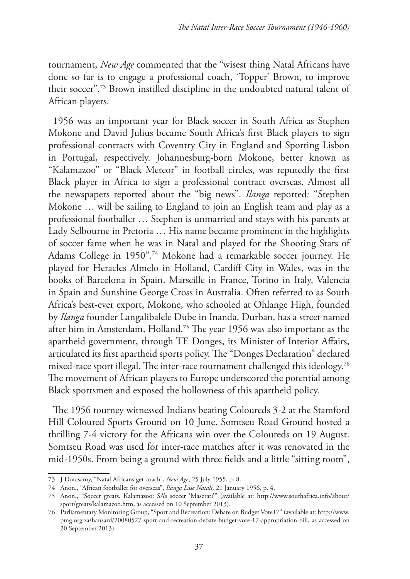tournament, *New Age* commented that the "wisest thing Natal Africans have done so far is to engage a professional coach, 'Topper' Brown, to improve their soccer".73 Brown instilled discipline in the undoubted natural talent of African players.

1956 was an important year for Black soccer in South Africa as Stephen Mokone and David Julius became South Africa's first Black players to sign professional contracts with Coventry City in England and Sporting Lisbon in Portugal, respectively. Johannesburg-born Mokone, better known as "Kalamazoo" or "Black Meteor" in football circles, was reputedly the first Black player in Africa to sign a professional contract overseas. Almost all the newspapers reported about the "big news". *Ilanga* reported*:* "Stephen Mokone … will be sailing to England to join an English team and play as a professional footballer … Stephen is unmarried and stays with his parents at Lady Selbourne in Pretoria … His name became prominent in the highlights of soccer fame when he was in Natal and played for the Shooting Stars of Adams College in 1950".74 Mokone had a remarkable soccer journey. He played for Heracles Almelo in Holland, Cardiff City in Wales, was in the books of Barcelona in Spain, Marseille in France, Torino in Italy, Valencia in Spain and Sunshine George Cross in Australia. Often referred to as South Africa's best-ever export, Mokone, who schooled at Ohlange High, founded by *Ilanga* founder Langalibalele Dube in Inanda, Durban, has a street named after him in Amsterdam, Holland.75 The year 1956 was also important as the apartheid government, through TE Donges, its Minister of Interior Affairs, articulated its first apartheid sports policy. The "Donges Declaration" declared mixed-race sport illegal. The inter-race tournament challenged this ideology.<sup>76</sup> The movement of African players to Europe underscored the potential among Black sportsmen and exposed the hollowness of this apartheid policy.

The 1956 tourney witnessed Indians beating Coloureds 3-2 at the Stamford Hill Coloured Sports Ground on 10 June. Somtseu Road Ground hosted a thrilling 7-4 victory for the Africans win over the Coloureds on 19 August. Somtseu Road was used for inter-race matches after it was renovated in the mid-1950s. From being a ground with three fields and a little "sitting room",

<sup>73</sup> J Dorasamy, "Natal Africans get coach", *New Age*, 25 July 1955, p. 8.

<sup>74</sup> Anon., "African footballer for overseas", *Ilanga Lase Natali,* 21 January 1956, p. 4.

<sup>75</sup> Anon., "Soccer greats. Kalamazoo: SA's soccer 'Maserati'" (available at: http://www.southafrica.info/about/ sport/greats/kalamazoo.htm, as accessed on 10 September 2013).

<sup>76</sup> Parliamentary Monitoring Group, "Sport and Recreation: Debate on Budget Vote17" (available at: http://www. pmg.org.za/hansard/20080527-sport-and-recreation-debate-budget-vote-17-appropriation-bill, as accessed on 20 September 2013).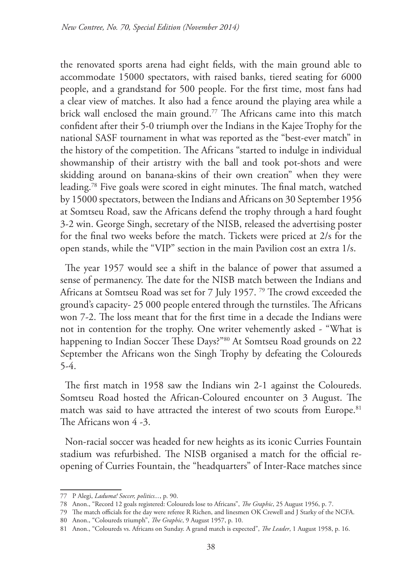the renovated sports arena had eight fields, with the main ground able to accommodate 15000 spectators, with raised banks, tiered seating for 6000 people, and a grandstand for 500 people. For the first time, most fans had a clear view of matches. It also had a fence around the playing area while a brick wall enclosed the main ground.<sup>77</sup> The Africans came into this match confident after their 5-0 triumph over the Indians in the Kajee Trophy for the national SASF tournament in what was reported as the "best-ever match" in the history of the competition. The Africans "started to indulge in individual showmanship of their artistry with the ball and took pot-shots and were skidding around on banana-skins of their own creation" when they were leading.78 Five goals were scored in eight minutes. The final match, watched by 15000 spectators, between the Indians and Africans on 30 September 1956 at Somtseu Road, saw the Africans defend the trophy through a hard fought 3-2 win. George Singh, secretary of the NISB, released the advertising poster for the final two weeks before the match. Tickets were priced at 2/s for the open stands, while the "VIP" section in the main Pavilion cost an extra 1/s.

The year 1957 would see a shift in the balance of power that assumed a sense of permanency. The date for the NISB match between the Indians and Africans at Somtseu Road was set for 7 July 1957.<sup>79</sup> The crowd exceeded the ground's capacity- 25 000 people entered through the turnstiles. The Africans won 7-2. The loss meant that for the first time in a decade the Indians were not in contention for the trophy. One writer vehemently asked - "What is happening to Indian Soccer These Days?"<sup>80</sup> At Somtseu Road grounds on 22 September the Africans won the Singh Trophy by defeating the Coloureds 5-4.

The first match in 1958 saw the Indians win 2-1 against the Coloureds. Somtseu Road hosted the African-Coloured encounter on 3 August. The match was said to have attracted the interest of two scouts from Europe.<sup>81</sup> The Africans won 4 -3.

Non-racial soccer was headed for new heights as its iconic Curries Fountain stadium was refurbished. The NISB organised a match for the official reopening of Curries Fountain, the "headquarters" of Inter-Race matches since

<sup>77</sup> P Alegi, *Laduma! Soccer, politics...*, p. 90.

<sup>78</sup> Anon., "Record 12 goals registered: Coloureds lose to Africans", *The Graphic*, 25 August 1956, p. 7.

<sup>79</sup> The match officials for the day were referee R Richen, and linesmen OK Crewell and J Starky of the NCFA.

<sup>80</sup> Anon., "Coloureds triumph", *The Graphic*, 9 August 1957, p. 10.

<sup>81</sup> Anon., "Coloureds vs. Africans on Sunday. A grand match is expected", *The Leader*, 1 August 1958, p. 16.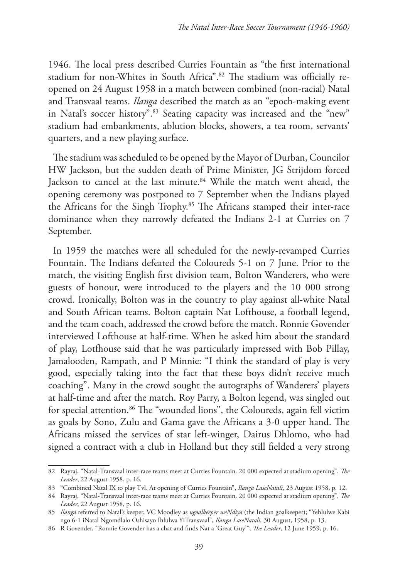1946. The local press described Curries Fountain as "the first international stadium for non-Whites in South Africa".<sup>82</sup> The stadium was officially reopened on 24 August 1958 in a match between combined (non-racial) Natal and Transvaal teams. *Ilanga* described the match as an "epoch-making event in Natal's soccer history".<sup>83</sup> Seating capacity was increased and the "new" stadium had embankments, ablution blocks, showers, a tea room, servants' quarters, and a new playing surface.

The stadium was scheduled to be opened by the Mayor of Durban, Councilor HW Jackson, but the sudden death of Prime Minister, JG Strijdom forced Jackson to cancel at the last minute.84 While the match went ahead, the opening ceremony was postponed to 7 September when the Indians played the Africans for the Singh Trophy.85 The Africans stamped their inter-race dominance when they narrowly defeated the Indians 2-1 at Curries on 7 September.

In 1959 the matches were all scheduled for the newly-revamped Curries Fountain. The Indians defeated the Coloureds 5-1 on 7 June. Prior to the match, the visiting English first division team, Bolton Wanderers, who were guests of honour, were introduced to the players and the 10 000 strong crowd. Ironically, Bolton was in the country to play against all-white Natal and South African teams. Bolton captain Nat Lofthouse, a football legend, and the team coach, addressed the crowd before the match. Ronnie Govender interviewed Lofthouse at half-time. When he asked him about the standard of play, Lotfhouse said that he was particularly impressed with Bob Pillay, Jamalooden, Rampath, and P Minnie: "I think the standard of play is very good, especially taking into the fact that these boys didn't receive much coaching". Many in the crowd sought the autographs of Wanderers' players at half-time and after the match. Roy Parry, a Bolton legend, was singled out for special attention.<sup>86</sup> The "wounded lions", the Coloureds, again fell victim as goals by Sono, Zulu and Gama gave the Africans a 3-0 upper hand. The Africans missed the services of star left-winger, Dairus Dhlomo, who had signed a contract with a club in Holland but they still fielded a very strong

<sup>82</sup> Rayraj, "Natal-Transvaal inter-race teams meet at Curries Fountain. 20 000 expected at stadium opening", *The Leader*, 22 August 1958, p. 16.

<sup>83</sup> "Combined Natal IX to play Tvl. At opening of Curries Fountain", *Ilanga LaseNatali*, 23 August 1958, p. 12.

<sup>84</sup> Rayraj, "Natal-Transvaal inter-race teams meet at Curries Fountain. 20 000 expected at stadium opening", *The Leader*, 22 August 1958, p. 16.

<sup>85</sup> *Ilanga* referred to Natal's keeper, VC Moodley as *ugoalkeeper weNdiya* (the Indian goalkeeper); "Yehlulwe Kabi ngo 6-1 iNatal Ngomdlalo Oshisayo Ihlulwa YiTransvaal", *Ilanga LaseNatali,* 30 August, 1958, p. 13.

<sup>86</sup> R Govender, "Ronnie Govender has a chat and finds Nat a 'Great Guy'", *The Leader*, 12 June 1959, p. 16.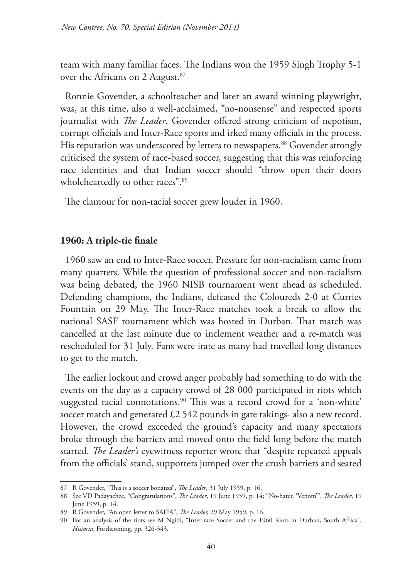team with many familiar faces. The Indians won the 1959 Singh Trophy 5-1 over the Africans on 2 August.<sup>87</sup>

Ronnie Govender, a schoolteacher and later an award winning playwright, was, at this time, also a well-acclaimed, "no-nonsense" and respected sports journalist with *The Leader*. Govender offered strong criticism of nepotism, corrupt officials and Inter-Race sports and irked many officials in the process. His reputation was underscored by letters to newspapers.<sup>88</sup> Govender strongly criticised the system of race-based soccer, suggesting that this was reinforcing race identities and that Indian soccer should "throw open their doors wholeheartedly to other races".<sup>89</sup>

The clamour for non-racial soccer grew louder in 1960.

## **1960: A triple-tie finale**

1960 saw an end to Inter-Race soccer. Pressure for non-racialism came from many quarters. While the question of professional soccer and non-racialism was being debated, the 1960 NISB tournament went ahead as scheduled. Defending champions, the Indians, defeated the Coloureds 2-0 at Curries Fountain on 29 May. The Inter-Race matches took a break to allow the national SASF tournament which was hosted in Durban. That match was cancelled at the last minute due to inclement weather and a re-match was rescheduled for 31 July. Fans were irate as many had travelled long distances to get to the match.

The earlier lockout and crowd anger probably had something to do with the events on the day as a capacity crowd of 28 000 participated in riots which suggested racial connotations.<sup>90</sup> This was a record crowd for a 'non-white' soccer match and generated £2 542 pounds in gate takings- also a new record. However, the crowd exceeded the ground's capacity and many spectators broke through the barriers and moved onto the field long before the match started. *The Leader's* eyewitness reporter wrote that "despite repeated appeals from the officials' stand, supporters jumped over the crush barriers and seated

<sup>87</sup> R Govender, "This is a soccer bonanza", *The Leader*, 31 July 1959, p. 16.

<sup>88</sup> See VD Padayachee, "Congratulations", *The Leader*, 19 June 1959, p. 14; "No-hater, 'Venom'", *The Leader*, 19 June 1959, p. 14.

<sup>89</sup> R Govender, "An open letter to SAIFA", *The Leader,* 29 May 1959, p. 16.

<sup>90</sup> For an analysis of the riots see M Ngidi, "Inter-race Soccer and the 1960 Riots in Durban, South Africa", *Historia*, Forthcoming, pp. 326-343.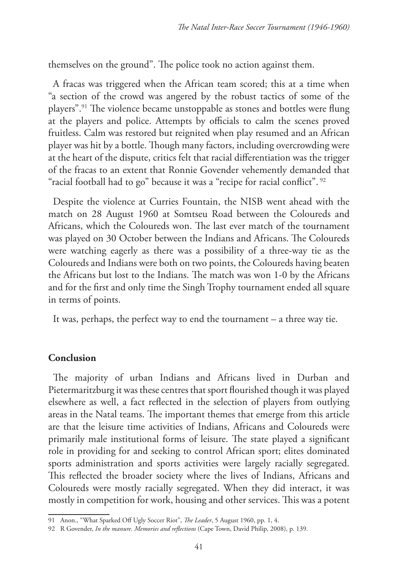themselves on the ground". The police took no action against them.

A fracas was triggered when the African team scored; this at a time when "a section of the crowd was angered by the robust tactics of some of the players".91 The violence became unstoppable as stones and bottles were flung at the players and police. Attempts by officials to calm the scenes proved fruitless. Calm was restored but reignited when play resumed and an African player was hit by a bottle. Though many factors, including overcrowding were at the heart of the dispute, critics felt that racial differentiation was the trigger of the fracas to an extent that Ronnie Govender vehemently demanded that "racial football had to go" because it was a "recipe for racial conflict".<sup>92</sup>

Despite the violence at Curries Fountain, the NISB went ahead with the match on 28 August 1960 at Somtseu Road between the Coloureds and Africans, which the Coloureds won. The last ever match of the tournament was played on 30 October between the Indians and Africans. The Coloureds were watching eagerly as there was a possibility of a three-way tie as the Coloureds and Indians were both on two points, the Coloureds having beaten the Africans but lost to the Indians. The match was won 1-0 by the Africans and for the first and only time the Singh Trophy tournament ended all square in terms of points.

It was, perhaps, the perfect way to end the tournament – a three way tie.

### **Conclusion**

The majority of urban Indians and Africans lived in Durban and Pietermaritzburg it was these centres that sport flourished though it was played elsewhere as well, a fact reflected in the selection of players from outlying areas in the Natal teams. The important themes that emerge from this article are that the leisure time activities of Indians, Africans and Coloureds were primarily male institutional forms of leisure. The state played a significant role in providing for and seeking to control African sport; elites dominated sports administration and sports activities were largely racially segregated. This reflected the broader society where the lives of Indians, Africans and Coloureds were mostly racially segregated. When they did interact, it was mostly in competition for work, housing and other services. This was a potent

<sup>91</sup> Anon., "What Sparked Off Ugly Soccer Riot", *The Leader*, 5 August 1960, pp. 1, 4.

<sup>92</sup> R Govender, *In the manure. Memories and reflections* (Cape Town, David Philip, 2008), p. 139.